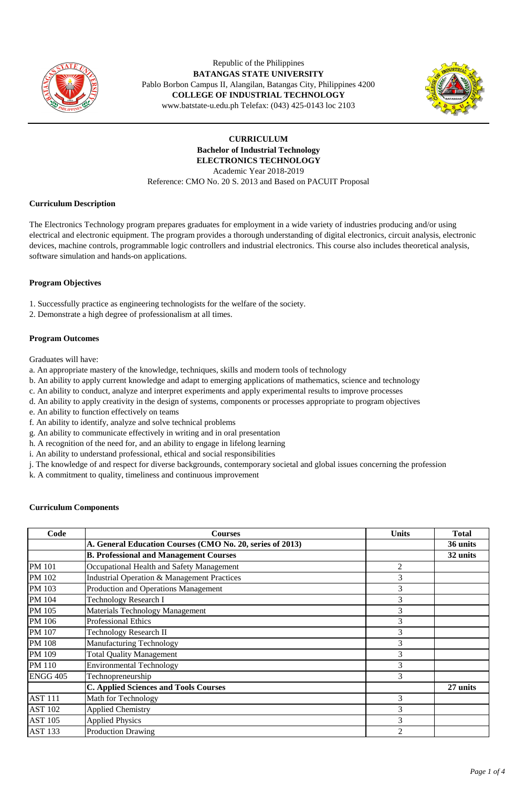

Republic of the Philippines **BATANGAS STATE UNIVERSITY**  Pablo Borbon Campus II, Alangilan, Batangas City, Philippines 4200 **COLLEGE OF INDUSTRIAL TECHNOLOGY** www.batstate-u.edu.ph Telefax: (043) 425-0143 loc 2103



**CURRICULUM Bachelor of Industrial Technology ELECTRONICS TECHNOLOGY**  Academic Year 2018-2019 Reference: CMO No. 20 S. 2013 and Based on PACUIT Proposal

### **Curriculum Description**

The Electronics Technology program prepares graduates for employment in a wide variety of industries producing and/or using electrical and electronic equipment. The program provides a thorough understanding of digital electronics, circuit analysis, electronic devices, machine controls, programmable logic controllers and industrial electronics. This course also includes theoretical analysis, software simulation and hands-on applications.

# **Program Objectives**

- 1. Successfully practice as engineering technologists for the welfare of the society.
- 2. Demonstrate a high degree of professionalism at all times.

### **Program Outcomes**

Graduates will have:

- a. An appropriate mastery of the knowledge, techniques, skills and modern tools of technology
- b. An ability to apply current knowledge and adapt to emerging applications of mathematics, science and technology
- c. An ability to conduct, analyze and interpret experiments and apply experimental results to improve processes
- d. An ability to apply creativity in the design of systems, components or processes appropriate to program objectives
- e. An ability to function effectively on teams
- f. An ability to identify, analyze and solve technical problems
- g. An ability to communicate effectively in writing and in oral presentation
- h. A recognition of the need for, and an ability to engage in lifelong learning
- i. An ability to understand professional, ethical and social responsibilities
- j. The knowledge of and respect for diverse backgrounds, contemporary societal and global issues concerning the profession
- k. A commitment to quality, timeliness and continuous improvement

### **Curriculum Components**

| Code            | <b>Courses</b>                                            | <b>Units</b>   | <b>Total</b> |
|-----------------|-----------------------------------------------------------|----------------|--------------|
|                 | A. General Education Courses (CMO No. 20, series of 2013) |                | 36 units     |
|                 | <b>B. Professional and Management Courses</b>             |                | 32 units     |
| <b>PM 101</b>   | Occupational Health and Safety Management                 | 2              |              |
| PM 102          | Industrial Operation & Management Practices               | 3              |              |
| PM 103          | Production and Operations Management                      | 3              |              |
| PM 104          | <b>Technology Research I</b>                              | 3              |              |
| PM 105          | <b>Materials Technology Management</b>                    | 3              |              |
| PM 106          | <b>Professional Ethics</b>                                | 3              |              |
| PM 107          | <b>Technology Research II</b>                             | 3              |              |
| <b>PM 108</b>   | <b>Manufacturing Technology</b>                           | 3              |              |
| PM 109          | <b>Total Quality Management</b>                           | 3              |              |
| <b>PM</b> 110   | <b>Environmental Technology</b>                           | 3              |              |
| <b>ENGG 405</b> | Technopreneurship                                         | 3              |              |
|                 | <b>C. Applied Sciences and Tools Courses</b>              |                | 27 units     |
| <b>AST 111</b>  | Math for Technology                                       | 3              |              |
| <b>AST 102</b>  | <b>Applied Chemistry</b>                                  | 3              |              |
| <b>AST 105</b>  | <b>Applied Physics</b>                                    | 3              |              |
| <b>AST 133</b>  | <b>Production Drawing</b>                                 | $\overline{2}$ |              |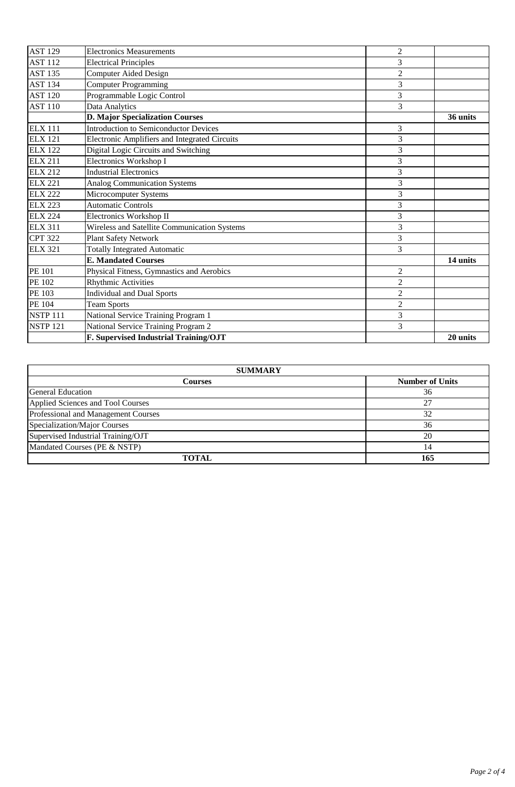| <b>AST 129</b>  | <b>Electronics Measurements</b>               | $\overline{2}$ |          |
|-----------------|-----------------------------------------------|----------------|----------|
| <b>AST 112</b>  | <b>Electrical Principles</b>                  | 3              |          |
| <b>AST 135</b>  | <b>Computer Aided Design</b>                  | $\overline{2}$ |          |
| <b>AST 134</b>  | <b>Computer Programming</b>                   | 3              |          |
| <b>AST 120</b>  | Programmable Logic Control                    | 3              |          |
| <b>AST 110</b>  | Data Analytics                                | 3              |          |
|                 | <b>D. Major Specialization Courses</b>        |                | 36 units |
| <b>ELX 111</b>  | <b>Introduction to Semiconductor Devices</b>  | 3              |          |
| <b>ELX 121</b>  | Electronic Amplifiers and Integrated Circuits | $\overline{3}$ |          |
| <b>ELX 122</b>  | Digital Logic Circuits and Switching          | 3              |          |
| <b>ELX 211</b>  | Electronics Workshop I                        | 3              |          |
| <b>ELX 212</b>  | <b>Industrial Electronics</b>                 | 3              |          |
| <b>ELX 221</b>  | <b>Analog Communication Systems</b>           | 3              |          |
| <b>ELX 222</b>  | Microcomputer Systems                         | 3              |          |
| <b>ELX 223</b>  | <b>Automatic Controls</b>                     | 3              |          |
| <b>ELX 224</b>  | Electronics Workshop II                       | 3              |          |
| <b>ELX 311</b>  | Wireless and Satellite Communication Systems  | $\overline{3}$ |          |
| <b>CPT 322</b>  | <b>Plant Safety Network</b>                   | 3              |          |
| <b>ELX 321</b>  | <b>Totally Integrated Automatic</b>           | 3              |          |
|                 | <b>E. Mandated Courses</b>                    |                | 14 units |
| <b>PE 101</b>   | Physical Fitness, Gymnastics and Aerobics     | $\overline{2}$ |          |
| <b>PE 102</b>   | <b>Rhythmic Activities</b>                    | $\overline{2}$ |          |
| PE 103          | <b>Individual and Dual Sports</b>             | $\overline{c}$ |          |
| <b>PE 104</b>   | <b>Team Sports</b>                            | $\overline{2}$ |          |
| <b>NSTP 111</b> | National Service Training Program 1           | 3              |          |
| <b>NSTP 121</b> | National Service Training Program 2           | 3              |          |
|                 | F. Supervised Industrial Training/OJT         |                | 20 units |

| <b>SUMMARY</b>                      |                        |  |  |  |  |
|-------------------------------------|------------------------|--|--|--|--|
| <b>Courses</b>                      | <b>Number of Units</b> |  |  |  |  |
| General Education                   | 36                     |  |  |  |  |
| Applied Sciences and Tool Courses   | 27                     |  |  |  |  |
| Professional and Management Courses | 32                     |  |  |  |  |
| Specialization/Major Courses        | 36                     |  |  |  |  |
| Supervised Industrial Training/OJT  | 20                     |  |  |  |  |
| Mandated Courses (PE & NSTP)        |                        |  |  |  |  |
| <b>TOTAL</b>                        | 165                    |  |  |  |  |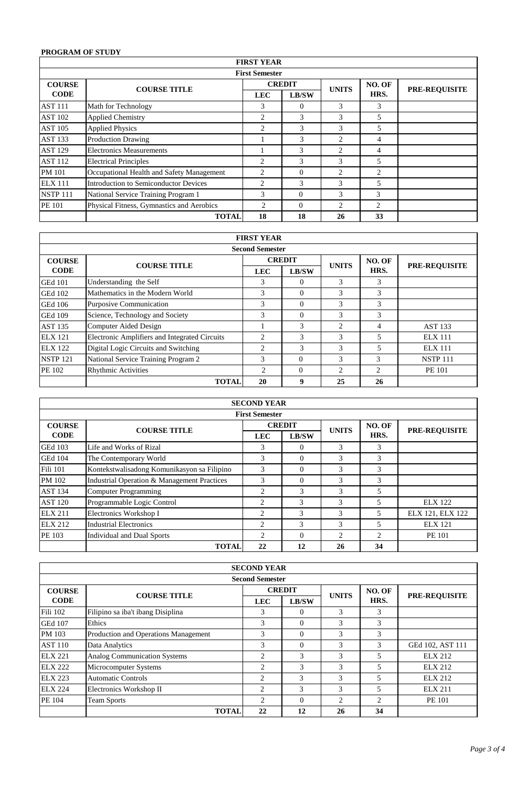# **PROGRAM OF STUDY**

|                 | <b>FIRST YEAR</b>                         |                |               |                |        |                      |  |  |
|-----------------|-------------------------------------------|----------------|---------------|----------------|--------|----------------------|--|--|
|                 | <b>First Semester</b>                     |                |               |                |        |                      |  |  |
| <b>COURSE</b>   | <b>COURSE TITLE</b>                       |                | <b>CREDIT</b> | <b>UNITS</b>   | NO. OF | <b>PRE-REQUISITE</b> |  |  |
| <b>CODE</b>     |                                           | <b>LEC</b>     | LB/SW         |                | HRS.   |                      |  |  |
| <b>AST 111</b>  | Math for Technology                       | 3              | $\theta$      | 3              | 3      |                      |  |  |
| <b>AST 102</b>  | <b>Applied Chemistry</b>                  | 2              | 3             | 3              | 5      |                      |  |  |
| <b>AST 105</b>  | <b>Applied Physics</b>                    | 2              | $\mathcal{R}$ | 3              | 5      |                      |  |  |
| <b>AST 133</b>  | <b>Production Drawing</b>                 |                | 3             | $\overline{c}$ | 4      |                      |  |  |
| <b>AST 129</b>  | <b>Electronics Measurements</b>           |                | 3             | 2              | 4      |                      |  |  |
| <b>AST 112</b>  | <b>Electrical Principles</b>              | 2              | 3             | 3              | 5      |                      |  |  |
| <b>PM 101</b>   | Occupational Health and Safety Management | 2              | $\Omega$      | $\overline{c}$ | 2      |                      |  |  |
| <b>ELX 111</b>  | Introduction to Semiconductor Devices     | 2              | 3             | 3              | 5      |                      |  |  |
| <b>NSTP 111</b> | National Service Training Program 1       | 3              | $\Omega$      | 3              | 3      |                      |  |  |
| PE 101          | Physical Fitness, Gymnastics and Aerobics | $\overline{c}$ | $\Omega$      | 2              | 2      |                      |  |  |
|                 | <b>TOTAL</b>                              | 18             | 18            | 26             | 33     |                      |  |  |

|                 | <b>FIRST YEAR</b>                             |                |               |                |                |                      |  |  |  |
|-----------------|-----------------------------------------------|----------------|---------------|----------------|----------------|----------------------|--|--|--|
|                 | <b>Second Semester</b>                        |                |               |                |                |                      |  |  |  |
| <b>COURSE</b>   | <b>COURSE TITLE</b>                           |                | <b>CREDIT</b> |                | NO. OF         | <b>PRE-REQUISITE</b> |  |  |  |
| <b>CODE</b>     |                                               | <b>LEC</b>     | LB/SW         | <b>UNITS</b>   | HRS.           |                      |  |  |  |
| <b>GEd 101</b>  | Understanding the Self                        | 3              | $\Omega$      | 3              | 3              |                      |  |  |  |
| <b>GEd 102</b>  | Mathematics in the Modern World               | 3              | $\Omega$      | 3              | 3              |                      |  |  |  |
| <b>GEd 106</b>  | Purposive Communication                       | 3              | $\Omega$      | 3              | 3              |                      |  |  |  |
| <b>GEd 109</b>  | Science, Technology and Society               | 3              | $\Omega$      | 3              | 3              |                      |  |  |  |
| <b>AST 135</b>  | Computer Aided Design                         |                | 3             | $\overline{c}$ | 4              | <b>AST 133</b>       |  |  |  |
| <b>ELX 121</b>  | Electronic Amplifiers and Integrated Circuits | $\mathfrak{D}$ | 3             | 3              | 5              | <b>ELX 111</b>       |  |  |  |
| <b>ELX 122</b>  | Digital Logic Circuits and Switching          | 2              | 3             | 3              | 5              | $EIX$ 111            |  |  |  |
| <b>NSTP 121</b> | National Service Training Program 2           | 3              | $\Omega$      | 3              | 3              | <b>NSTP 111</b>      |  |  |  |
| PE 102          | <b>Rhythmic Activities</b>                    | 2              | $\Omega$      | $\overline{c}$ | $\mathfrak{D}$ | PE 101               |  |  |  |
|                 | <b>TOTAL</b>                                  | 20             | q             | 25             | 26             |                      |  |  |  |

| <b>SECOND YEAR</b> |                                             |                |               |                |                |                      |  |  |
|--------------------|---------------------------------------------|----------------|---------------|----------------|----------------|----------------------|--|--|
|                    | <b>First Semester</b>                       |                |               |                |                |                      |  |  |
| <b>COURSE</b>      | <b>COURSE TITLE</b>                         | <b>CREDIT</b>  |               | <b>UNITS</b>   | NO. OF         | <b>PRE-REQUISITE</b> |  |  |
| <b>CODE</b>        |                                             | <b>LEC</b>     | <b>LB/SW</b>  |                | HRS.           |                      |  |  |
| <b>GEd 103</b>     | Life and Works of Rizal                     | 3              | $\Omega$      | 3              | 3              |                      |  |  |
| <b>GEd 104</b>     | The Contemporary World                      | 3              | $\Omega$      | 3              | 3              |                      |  |  |
| <b>Fili 101</b>    | Kontekstwalisadong Komunikasyon sa Filipino | 3              | $\Omega$      | 3              | 3              |                      |  |  |
| PM 102             | Industrial Operation & Management Practices | 3              | $\Omega$      | 3              | 3              |                      |  |  |
| <b>AST 134</b>     | <b>Computer Programming</b>                 | $\overline{c}$ | 3             | 3              | 5              |                      |  |  |
| <b>AST 120</b>     | Programmable Logic Control                  | 2              | $\mathcal{F}$ | 3              | 5              | <b>ELX</b> 122       |  |  |
| <b>ELX 211</b>     | Electronics Workshop I                      | 2              | 3             | 3              | 5              | ELX 121, ELX 122     |  |  |
| ELX 212            | Industrial Electronics                      | 2              | 3             | 3              | 5              | <b>ELX 121</b>       |  |  |
| PE 103             | <b>Individual and Dual Sports</b>           | $\overline{c}$ | $\Omega$      | $\mathfrak{D}$ | $\mathfrak{D}$ | <b>PE 101</b>        |  |  |
|                    | <b>TOTAL</b>                                | 22             | 12            | 26             | 34             |                      |  |  |

|                | <b>SECOND YEAR</b>                   |                |               |                |                |                      |  |  |  |
|----------------|--------------------------------------|----------------|---------------|----------------|----------------|----------------------|--|--|--|
|                | <b>Second Semester</b>               |                |               |                |                |                      |  |  |  |
| <b>COURSE</b>  | <b>COURSE TITLE</b>                  |                | <b>CREDIT</b> |                | NO. OF         | <b>PRE-REQUISITE</b> |  |  |  |
| <b>CODE</b>    |                                      | <b>LEC</b>     | LB/SW         | <b>UNITS</b>   | HRS.           |                      |  |  |  |
| Fili 102       | Filipino sa iba't ibang Disiplina    | 3              | $\Omega$      | 3              | 3              |                      |  |  |  |
| <b>GEd 107</b> | Ethics                               | 3              | $\Omega$      | 3              | 3              |                      |  |  |  |
| PM 103         | Production and Operations Management | 3              | $\Omega$      | 3              | 3              |                      |  |  |  |
| <b>AST 110</b> | Data Analytics                       | 3              | $\Omega$      | 3              | 3              | GEd 102, AST 111     |  |  |  |
| <b>ELX 221</b> | <b>Analog Communication Systems</b>  | 2              | 3             | 3              | 5              | ELX 212              |  |  |  |
| <b>ELX 222</b> | Microcomputer Systems                | $\overline{c}$ | 3             | 3              | 5              | <b>ELX 212</b>       |  |  |  |
| <b>ELX 223</b> | <b>Automatic Controls</b>            | 2              | 3             | 3              | 5              | <b>ELX 212</b>       |  |  |  |
| <b>ELX 224</b> | Electronics Workshop II              | 2              | $\mathcal{R}$ | 3              | 5              | <b>ELX 211</b>       |  |  |  |
| PE 104         | <b>Team Sports</b>                   | $\overline{c}$ | $\Omega$      | $\overline{c}$ | $\mathfrak{D}$ | <b>PE 101</b>        |  |  |  |
|                | <b>TOTAL</b>                         | 22             | 12            | 26             | 34             |                      |  |  |  |